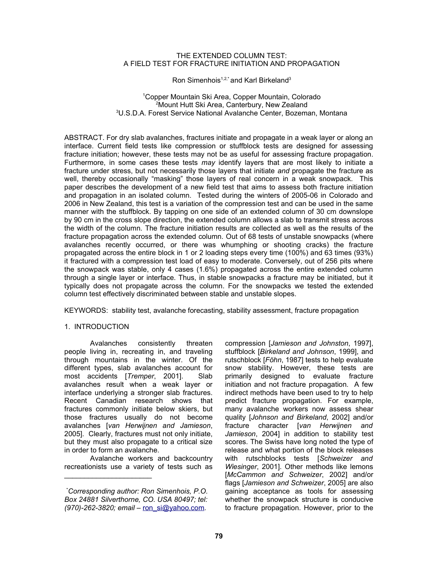### THE EXTENDED COLUMN TEST: A FIELD TEST FOR FRACTURE INITIATION AND PROPAGATION

Ron Simenhois<sup>1,2,\*</sup> and Karl Birkeland<sup>3</sup>

### <sup>1</sup>Copper Mountain Ski Area, Copper Mountain, Colorado <sup>2</sup>Mount Hutt Ski Area, Canterbury, New Zealand <sup>3</sup>U.S.D.A. Forest Service National Avalanche Center, Bozeman, Montana

ABSTRACT. For dry slab avalanches, fractures initiate and propagate in a weak layer or along an interface. Current field tests like compression or stuffblock tests are designed for assessing fracture initiation; however, these tests may not be as useful for assessing fracture propagation. Furthermore, in some cases these tests *may* identify layers that are most likely to initiate a fracture under stress, but not necessarily those layers that initiate *and* propagate the fracture as well, thereby occasionally "masking" those layers of real concern in a weak snowpack. This paper describes the development of a new field test that aims to assess both fracture initiation and propagation in an isolated column. Tested during the winters of 2005-06 in Colorado and 2006 in New Zealand, this test is a variation of the compression test and can be used in the same manner with the stuffblock. By tapping on one side of an extended column of 30 cm downslope by 90 cm in the cross slope direction, the extended column allows a slab to transmit stress across the width of the column. The fracture initiation results are collected as well as the results of the fracture propagation across the extended column. Out of 68 tests of unstable snowpacks (where avalanches recently occurred, or there was whumphing or shooting cracks) the fracture propagated across the entire block in 1 or 2 loading steps every time (100%) and 63 times (93%) it fractured with a compression test load of easy to moderate. Conversely, out of 256 pits where the snowpack was stable, only 4 cases (1.6%) propagated across the entire extended column through a single layer or interface. Thus, in stable snowpacks a fracture may be initiated, but it typically does not propagate across the column. For the snowpacks we tested the extended column test effectively discriminated between stable and unstable slopes.

KEYWORDS: stability test, avalanche forecasting, stability assessment, fracture propagation

# 1. INTRODUCTION

Avalanches consistently threaten people living in, recreating in, and traveling through mountains in the winter. Of the different types, slab avalanches account for most accidents [*Tremper*, 2001]. Slab avalanches result when a weak layer or interface underlying a stronger slab fractures. Recent Canadian research shows that fractures commonly initiate below skiers, but those fractures usually do not become avalanches [*van Herwijnen and Jamieson*, 2005]. Clearly, fractures must not only initiate, but they must also propagate to a critical size in order to form an avalanche.

Avalanche workers and backcountry recreationists use a variety of tests such as

 $\overline{\phantom{a}}$  , and the set of the set of the set of the set of the set of the set of the set of the set of the set of the set of the set of the set of the set of the set of the set of the set of the set of the set of the s

compression [*Jamieson and Johnston*, 1997], stuffblock [*Birkeland and Johnson*, 1999], and rutschblock [*Föhn*, 1987] tests to help evaluate snow stability. However, these tests are primarily designed to evaluate fracture initiation and not fracture propagation. A few indirect methods have been used to try to help predict fracture propagation. For example, many avalanche workers now assess shear quality [*Johnson and Birkeland*, 2002] and/or fracture character [*van Herwijnen and Jamieson*, 2004] in addition to stability test scores. The Swiss have long noted the type of release and what portion of the block releases with rutschblocks tests [*Schweizer and Wiesinger*, 2001]. Other methods like lemons [*McCammon and Schweizer*, 2002] and/or flags [*Jamieson and Schweizer*, 2005] are also gaining acceptance as tools for assessing whether the snowpack structure is conducive to fracture propagation. However, prior to the

<sup>\*</sup>*Corresponding author: Ron Simenhois, P.O. Box 24881 Silverthorne, CO. USA 80497; tel: (970)-262-3820; email –* [ron\\_si@yahoo.com](mailto:ron_si@yahoo.com)*.*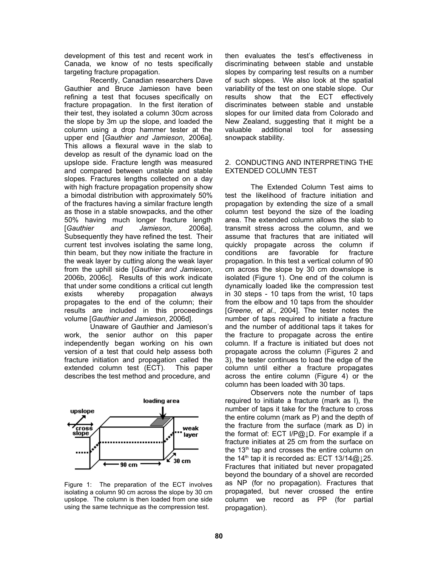development of this test and recent work in Canada, we know of no tests specifically targeting fracture propagation.

Recently, Canadian researchers Dave Gauthier and Bruce Jamieson have been refining a test that focuses specifically on fracture propagation. In the first iteration of their test, they isolated a column 30cm across the slope by 3m up the slope, and loaded the column using a drop hammer tester at the upper end [*Gauthier and Jamieson*, 2006a]. This allows a flexural wave in the slab to develop as result of the dynamic load on the upslope side. Fracture length was measured and compared between unstable and stable slopes. Fractures lengths collected on a day with high fracture propagation propensity show a bimodal distribution with approximately 50% of the fractures having a similar fracture length as those in a stable snowpacks, and the other 50% having much longer fracture length [*Gauthier and Jamieson*, 2006a]. Subsequently they have refined the test. Their current test involves isolating the same long, thin beam, but they now initiate the fracture in the weak layer by cutting along the weak layer from the uphill side [*Gauthier and Jamieson*, 2006b, 2006c]. Results of this work indicate that under some conditions a critical cut length exists whereby propagation always propagates to the end of the column; their results are included in this proceedings volume [*Gauthier and Jamieson*, 2006d].

Unaware of Gauthier and Jamieson's work, the senior author on this paper independently began working on his own version of a test that could help assess both fracture initiation and propagation called the extended column test (ECT). This paper describes the test method and procedure, and



Figure 1: The preparation of the ECT involves isolating a column 90 cm across the slope by 30 cm upslope. The column is then loaded from one side using the same technique as the compression test.

then evaluates the test's effectiveness in discriminating between stable and unstable slopes by comparing test results on a number of such slopes. We also look at the spatial variability of the test on one stable slope. Our results show that the ECT effectively discriminates between stable and unstable slopes for our limited data from Colorado and New Zealand, suggesting that it might be a valuable additional tool for assessing snowpack stability.

### 2. CONDUCTING AND INTERPRETING THE EXTENDED COLUMN TEST

The Extended Column Test aims to test the likelihood of fracture initiation and propagation by extending the size of a small column test beyond the size of the loading area. The extended column allows the slab to transmit stress across the column, and we assume that fractures that are initiated will quickly propagate across the column if conditions are favorable for fracture propagation. In this test a vertical column of 90 cm across the slope by 30 cm downslope is isolated (Figure 1). One end of the column is dynamically loaded like the compression test in 30 steps - 10 taps from the wrist, 10 taps from the elbow and 10 taps from the shoulder [*Greene, et al.*, 2004]. The tester notes the number of taps required to initiate a fracture and the number of additional taps it takes for the fracture to propagate across the entire column. If a fracture is initiated but does not propagate across the column (Figures 2 and 3), the tester continues to load the edge of the column until either a fracture propagates across the entire column (Figure 4) or the column has been loaded with 30 taps.

Observers note the number of taps required to initiate a fracture (mark as I), the number of taps it take for the fracture to cross the entire column (mark as P) and the depth of the fracture from the surface (mark as D) in the format of: ECT I/P@↓D. For example if a fracture initiates at 25 cm from the surface on the 13<sup>th</sup> tap and crosses the entire column on the 14<sup>th</sup> tap it is recorded as: ECT 13/14@↓25. Fractures that initiated but never propagated beyond the boundary of a shovel are recorded as NP (for no propagation). Fractures that propagated, but never crossed the entire column we record as PP (for partial propagation).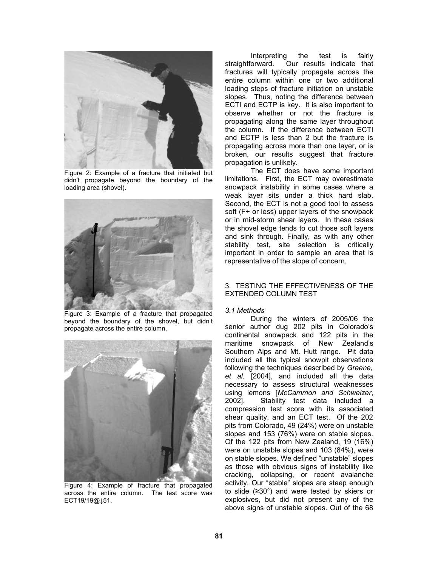

Figure 2: Example of a fracture that initiated but didn't propagate beyond the boundary of the loading area (shovel).



Figure 3: Example of a fracture that propagated beyond the boundary of the shovel, but didn't propagate across the entire column.



Figure 4: Example of fracture that propagated across the entire column. The test score was ECT19/19@↓51.

Interpreting the test is fairly<br>straightforward. Our results indicate that Our results indicate that fractures will typically propagate across the entire column within one or two additional loading steps of fracture initiation on unstable slopes. Thus, noting the difference between ECTI and ECTP is key. It is also important to observe whether or not the fracture is propagating along the same layer throughout the column. If the difference between ECTI and ECTP is less than 2 but the fracture is propagating across more than one layer, or is broken, our results suggest that fracture propagation is unlikely.

The ECT does have some important limitations. First, the ECT may overestimate snowpack instability in some cases where a weak layer sits under a thick hard slab. Second, the ECT is not a good tool to assess soft (F+ or less) upper layers of the snowpack or in mid-storm shear layers. In these cases the shovel edge tends to cut those soft layers and sink through. Finally, as with any other stability test, site selection is critically important in order to sample an area that is representative of the slope of concern.

# 3. TESTING THE EFFECTIVENESS OF THE EXTENDED COLUMN TEST

# *3.1 Methods*

During the winters of 2005/06 the senior author dug 202 pits in Colorado's continental snowpack and 122 pits in the maritime snowpack of New Zealand's Southern Alps and Mt. Hutt range. Pit data included all the typical snowpit observations following the techniques described by *Greene, et al.* [2004], and included all the data necessary to assess structural weaknesses using lemons [*McCammon and Schweizer*, 2002]. Stability test data included a compression test score with its associated shear quality, and an ECT test. Of the 202 pits from Colorado, 49 (24%) were on unstable slopes and 153 (76%) were on stable slopes. Of the 122 pits from New Zealand, 19 (16%) were on unstable slopes and 103 (84%), were on stable slopes. We defined "unstable" slopes as those with obvious signs of instability like cracking, collapsing, or recent avalanche activity. Our "stable" slopes are steep enough to slide (≥30°) and were tested by skiers or explosives, but did not present any of the above signs of unstable slopes. Out of the 68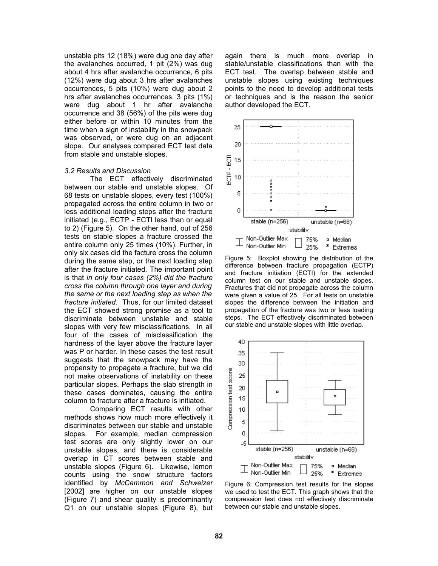unstable pits 12 (18%) were dug one day after the avalanches occurred, 1 pit (2%) was dug about 4 hrs after avalanche occurrence, 6 pits (12%) were dug about 3 hrs after avalanches occurrences, 5 pits (10%) were dug about 2 hrs after avalanches occurrences, 3 pits (1%) were dug about 1 hr after avalanche occurrence and 38 (56%) of the pits were dug either before or within 10 minutes from the time when a sign of instability in the snowpack was observed, or were dug on an adjacent slope. Our analyses compared ECT test data from stable and unstable slopes.

#### *3.2 Results and Discussion*

The ECT effectively discriminated between our stable and unstable slopes. Of 68 tests on unstable slopes, every test (100%) propagated across the entire column in two or less additional loading steps after the fracture initiated (e.g., ECTP - ECTI less than or equal to 2) (Figure 5). On the other hand, out of 256 tests on stable slopes a fracture crossed the entire column only 25 times (10%). Further, in only six cases did the facture cross the column during the same step, or the next loading step after the fracture initiated. The important point is that *in only four cases (2%) did the fracture cross the column through one layer and during the same or the next loading step as when the fracture initiated*. Thus, for our limited dataset the ECT showed strong promise as a tool to discriminate between unstable and stable slopes with very few misclassifications. In all four of the cases of misclassification the hardness of the layer above the fracture layer was P or harder. In these cases the test result suggests that the snowpack may have the propensity to propagate a fracture, but we did not make observations of instability on these particular slopes. Perhaps the slab strength in these cases dominates, causing the entire column to fracture after a fracture is initiated.

Comparing ECT results with other methods shows how much more effectively it discriminates between our stable and unstable slopes. For example, median compression test scores are only slightly lower on our unstable slopes, and there is considerable overlap in CT scores between stable and unstable slopes (Figure 6). Likewise, lemon counts using the snow structure factors identified by *McCammon and Schweizer* [2002] are higher on our unstable slopes (Figure 7) and shear quality is predominantly Q1 on our unstable slopes (Figure 8), but

again there is much more overlap in stable/unstable classifications than with the ECT test. The overlap between stable and unstable slopes using existing techniques points to the need to develop additional tests or techniques and is the reason the senior author developed the ECT.



Figure 5: Boxplot showing the distribution of the difference between fracture propagation (ECTP) and fracture initiation (ECTI) for the extended column test on our stable and unstable slopes. Fractures that did not propagate across the column were given a value of 25. For all tests on unstable slopes the difference between the initiation and propagation of the fracture was two or less loading steps. The ECT effectively discriminated between our stable and unstable slopes with little overlap.



Figure 6: Compression test results for the slopes we used to test the ECT. This graph shows that the compression test does not effectively discriminate between our stable and unstable slopes.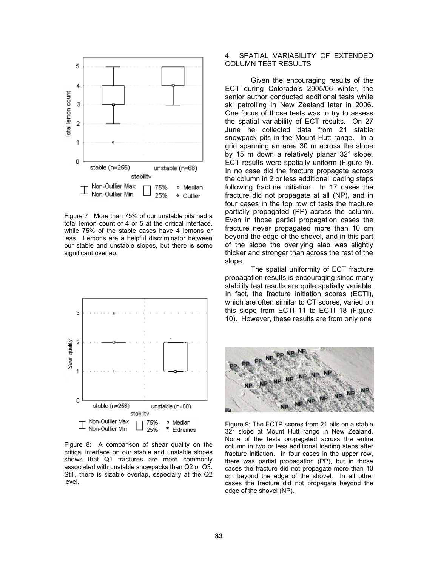

Figure 7: More than 75% of our unstable pits had a total lemon count of 4 or 5 at the critical interface, while 75% of the stable cases have 4 lemons or less. Lemons are a helpful discriminator between our stable and unstable slopes, but there is some significant overlap.



Figure 8: A comparison of shear quality on the critical interface on our stable and unstable slopes shows that Q1 fractures are more commonly associated with unstable snowpacks than Q2 or Q3. Still, there is sizable overlap, especially at the Q2 level.

# 4. SPATIAL VARIABILITY OF EXTENDED COLUMN TEST RESULTS

Given the encouraging results of the ECT during Colorado's 2005/06 winter, the senior author conducted additional tests while ski patrolling in New Zealand later in 2006. One focus of those tests was to try to assess the spatial variability of ECT results. On 27 June he collected data from 21 stable snowpack pits in the Mount Hutt range. In a grid spanning an area 30 m across the slope by 15 m down a relatively planar 32° slope, ECT results were spatially uniform (Figure 9). In no case did the fracture propagate across the column in 2 or less additional loading steps following fracture initiation. In 17 cases the fracture did not propagate at all (NP), and in four cases in the top row of tests the fracture partially propagated (PP) across the column. Even in those partial propagation cases the fracture never propagated more than 10 cm beyond the edge of the shovel, and in this part of the slope the overlying slab was slightly thicker and stronger than across the rest of the slope.

The spatial uniformity of ECT fracture propagation results is encouraging since many stability test results are quite spatially variable. In fact, the fracture initiation scores (ECTI), which are often similar to CT scores, varied on this slope from ECTI 11 to ECTI 18 (Figure 10). However, these results are from only one



Figure 9: The ECTP scores from 21 pits on a stable 32° slope at Mount Hutt range in New Zealand. None of the tests propagated across the entire column in two or less additional loading steps after fracture initiation. In four cases in the upper row, there was partial propagation (PP), but in those cases the fracture did not propagate more than 10 cm beyond the edge of the shovel. In all other cases the fracture did not propagate beyond the edge of the shovel (NP).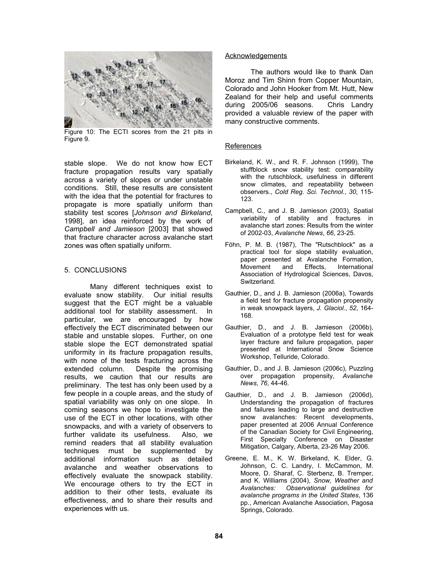

Figure 10: The ECTI scores from the 21 pits in Figure 9.

stable slope. We do not know how ECT fracture propagation results vary spatially across a variety of slopes or under unstable conditions. Still, these results are consistent with the idea that the potential for fractures to propagate is more spatially uniform than stability test scores [*Johnson and Birkeland*, 1998], an idea reinforced by the work of *Campbell and Jamieson* [2003] that showed that fracture character across avalanche start zones was often spatially uniform.

# 5. CONCLUSIONS

Many different techniques exist to evaluate snow stability. Our initial results suggest that the ECT might be a valuable additional tool for stability assessment. In particular, we are encouraged by how effectively the ECT discriminated between our stable and unstable slopes. Further, on one stable slope the ECT demonstrated spatial uniformity in its fracture propagation results, with none of the tests fracturing across the extended column. Despite the promising results, we caution that our results are preliminary. The test has only been used by a few people in a couple areas, and the study of spatial variability was only on one slope. In coming seasons we hope to investigate the use of the ECT in other locations, with other snowpacks, and with a variety of observers to further validate its usefulness. Also, we remind readers that all stability evaluation techniques must be supplemented by additional information such as detailed avalanche and weather observations to effectively evaluate the snowpack stability. We encourage others to try the ECT in addition to their other tests, evaluate its effectiveness, and to share their results and experiences with us.

#### **Acknowledgements**

The authors would like to thank Dan Moroz and Tim Shinn from Copper Mountain, Colorado and John Hooker from Mt. Hutt, New Zealand for their help and useful comments during 2005/06 seasons. Chris Landry provided a valuable review of the paper with many constructive comments.

# References

- Birkeland, K. W., and R. F. Johnson (1999), The stuffblock snow stability test: comparability with the rutschblock, usefulness in different snow climates, and repeatability between observers., *Cold Reg. Sci. Technol.*, *30*, 115- 123.
- Campbell, C., and J. B. Jamieson (2003), Spatial variability of stability and fractures in avalanche start zones: Results from the winter of 2002-03, *Avalanche News*, *66*, 23-25.
- Föhn, P. M. B. (1987), The "Rutschblock" as a practical tool for slope stability evaluation, paper presented at Avalanche Formation,<br>Movement and Effects. International and Effects, International Association of Hydrological Sciences, Davos, Switzerland.
- Gauthier, D., and J. B. Jamieson (2006a), Towards a field test for fracture propagation propensity in weak snowpack layers, *J. Glaciol.*, *52*, 164- 168.
- Gauthier, D., and J. B. Jamieson (2006b), Evaluation of a prototype field test for weak layer fracture and failure propagation, paper presented at International Snow Science Workshop, Telluride, Colorado.
- Gauthier, D., and J. B. Jamieson (2006c), Puzzling over propagation propensity, *Avalanche News*, *76*, 44-46.
- Gauthier, D., and J. B. Jamieson (2006d), Understanding the propagation of fractures and failures leading to large and destructive snow avalanches: Recent developments, paper presented at 2006 Annual Conference of the Canadian Society for Civil Engineering, First Specialty Conference on Disaster Mitigation, Calgary, Alberta, 23-26 May 2006.
- Greene, E. M., K. W. Birkeland, K. Elder, G. Johnson, C. C. Landry, I. McCammon, M. Moore, D. Sharaf, C. Sterbenz, B. Tremper, and K. Williams (2004), *Snow, Weather and Avalanches: Observational guidelines for avalanche programs in the United States*, 136 pp., American Avalanche Association, Pagosa Springs, Colorado.